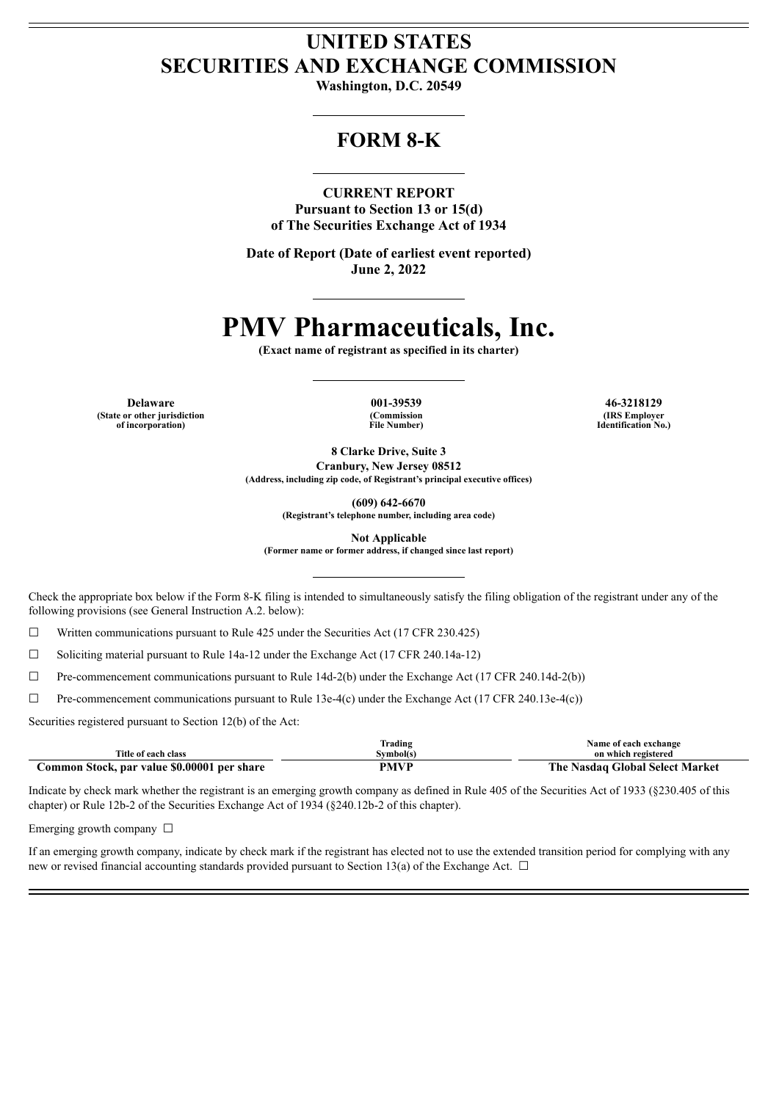## **UNITED STATES SECURITIES AND EXCHANGE COMMISSION**

**Washington, D.C. 20549**

## **FORM 8-K**

**CURRENT REPORT Pursuant to Section 13 or 15(d) of The Securities Exchange Act of 1934**

**Date of Report (Date of earliest event reported) June 2, 2022**

# **PMV Pharmaceuticals, Inc.**

**(Exact name of registrant as specified in its charter)**

**Delaware 001-39539 46-3218129 (State or other jurisdiction of incorporation)**

**(Commission File Number)**

**(IRS Employer Identification No.)**

**8 Clarke Drive, Suite 3 Cranbury, New Jersey 08512 (Address, including zip code, of Registrant's principal executive offices)**

**(609) 642-6670**

**(Registrant's telephone number, including area code)**

**Not Applicable**

**(Former name or former address, if changed since last report)**

Check the appropriate box below if the Form 8-K filing is intended to simultaneously satisfy the filing obligation of the registrant under any of the following provisions (see General Instruction A.2. below):

☐ Written communications pursuant to Rule 425 under the Securities Act (17 CFR 230.425)

☐ Soliciting material pursuant to Rule 14a-12 under the Exchange Act (17 CFR 240.14a-12)

☐ Pre-commencement communications pursuant to Rule 14d-2(b) under the Exchange Act (17 CFR 240.14d-2(b))

☐ Pre-commencement communications pursuant to Rule 13e-4(c) under the Exchange Act (17 CFR 240.13e-4(c))

Securities registered pursuant to Section 12(b) of the Act:

|                                             | Trading   | Name of each exchange           |
|---------------------------------------------|-----------|---------------------------------|
| Title of each class                         | Symbol(s) | on which registered             |
| Common Stock, par value \$0.00001 per share | PMVP      | The Nasdag Global Select Market |

Indicate by check mark whether the registrant is an emerging growth company as defined in Rule 405 of the Securities Act of 1933 (§230.405 of this chapter) or Rule 12b-2 of the Securities Exchange Act of 1934 (§240.12b-2 of this chapter).

Emerging growth company  $\Box$ 

If an emerging growth company, indicate by check mark if the registrant has elected not to use the extended transition period for complying with any new or revised financial accounting standards provided pursuant to Section 13(a) of the Exchange Act.  $\Box$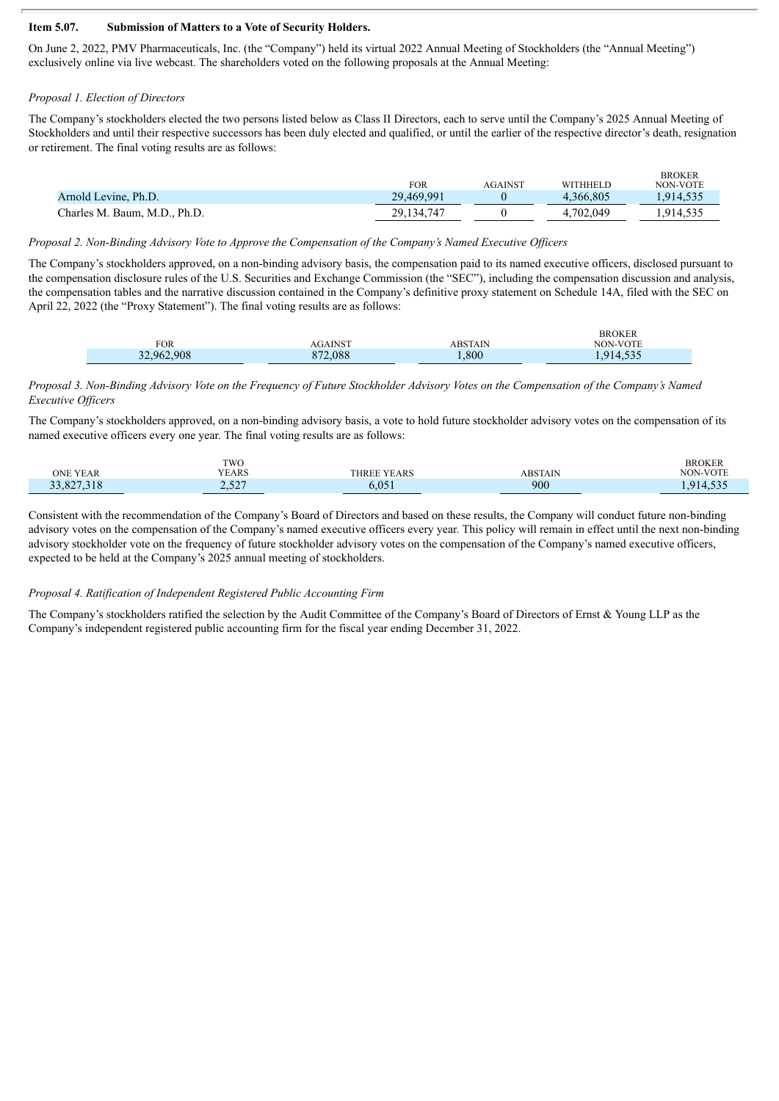#### **Item 5.07. Submission of Matters to a Vote of Security Holders.**

On June 2, 2022, PMV Pharmaceuticals, Inc. (the "Company") held its virtual 2022 Annual Meeting of Stockholders (the "Annual Meeting") exclusively online via live webcast. The shareholders voted on the following proposals at the Annual Meeting:

#### *Proposal 1. Election of Directors*

The Company's stockholders elected the two persons listed below as Class II Directors, each to serve until the Company's 2025 Annual Meeting of Stockholders and until their respective successors has been duly elected and qualified, or until the earlier of the respective director's death, resignation or retirement. The final voting results are as follows:

|                              | FOR          | <b>AGAINST</b> | <b>WITHHELD</b> | <b>BROKER</b><br>NON-VOTE |
|------------------------------|--------------|----------------|-----------------|---------------------------|
| Arnold Levine, Ph.D.         | 29,469,991   |                | 4.366.805       | .914,535                  |
| Charles M. Baum, M.D., Ph.D. | 29, 134, 747 |                | 4,702,049       | .914,535                  |

#### *Proposal 2. Non-Binding Advisory Vote to Approve the Compensation of the Company's Named Executive Of icers*

The Company's stockholders approved, on a non-binding advisory basis, the compensation paid to its named executive officers, disclosed pursuant to the compensation disclosure rules of the U.S. Securities and Exchange Commission (the "SEC"), including the compensation discussion and analysis, the compensation tables and the narrative discussion contained in the Company's definitive proxy statement on Schedule 14A, filed with the SEC on April 22, 2022 (the "Proxy Statement"). The final voting results are as follows:

| FOR        | <b>AGAINST</b> | <b>ABSTAIN</b> | <b>BROKER</b><br><b>NON-VOTE</b> |
|------------|----------------|----------------|----------------------------------|
| 32,962,908 | 872.088        | 008.           | 914.535<br>1. <i>.</i>           |

#### Proposal 3. Non-Binding Advisory Vote on the Frequency of Future Stockholder Advisory Votes on the Compensation of the Company's Named *Executive Of icers*

The Company's stockholders approved, on a non-binding advisory basis, a vote to hold future stockholder advisory votes on the compensation of its named executive officers every one year. The final voting results are as follows:

|            | <b>TWO</b>                                                     |                    |                | <b>BROKER</b>               |
|------------|----------------------------------------------------------------|--------------------|----------------|-----------------------------|
| ONE YEAR   | YEARS                                                          | <b>THREE YEARS</b> | <b>ABSTAIN</b> | <b>NON-VOTE</b>             |
| 33,827,318 | $\Delta$ $\Gamma$ $\Delta$ $\overline{\Delta}$<br>، ساكەن بىلە | .051<br>D.UD.      | 900            | $\sim$ $\sim$ $\sim$<br>914 |

Consistent with the recommendation of the Company's Board of Directors and based on these results, the Company will conduct future non-binding advisory votes on the compensation of the Company's named executive officers every year. This policy will remain in effect until the next non-binding advisory stockholder vote on the frequency of future stockholder advisory votes on the compensation of the Company's named executive officers, expected to be held at the Company's 2025 annual meeting of stockholders.

#### *Proposal 4. Ratification of Independent Registered Public Accounting Firm*

The Company's stockholders ratified the selection by the Audit Committee of the Company's Board of Directors of Ernst & Young LLP as the Company's independent registered public accounting firm for the fiscal year ending December 31, 2022.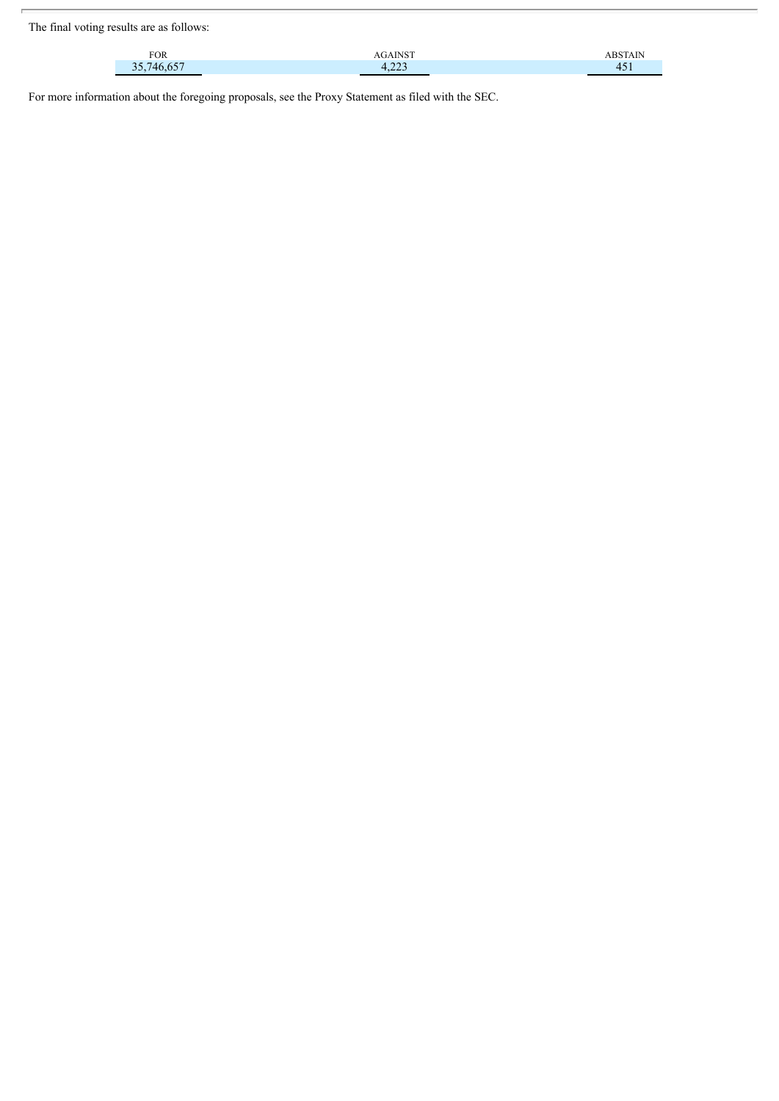The final voting results are as follows:

| <b>FOR</b>            | <b>AGAINST</b>                  |     |
|-----------------------|---------------------------------|-----|
| 35 746 657<br>، ، ب ب | $\sim$<br>$\mathbf{r}$<br>----- | 451 |

For more information about the foregoing proposals, see the Proxy Statement as filed with the SEC.